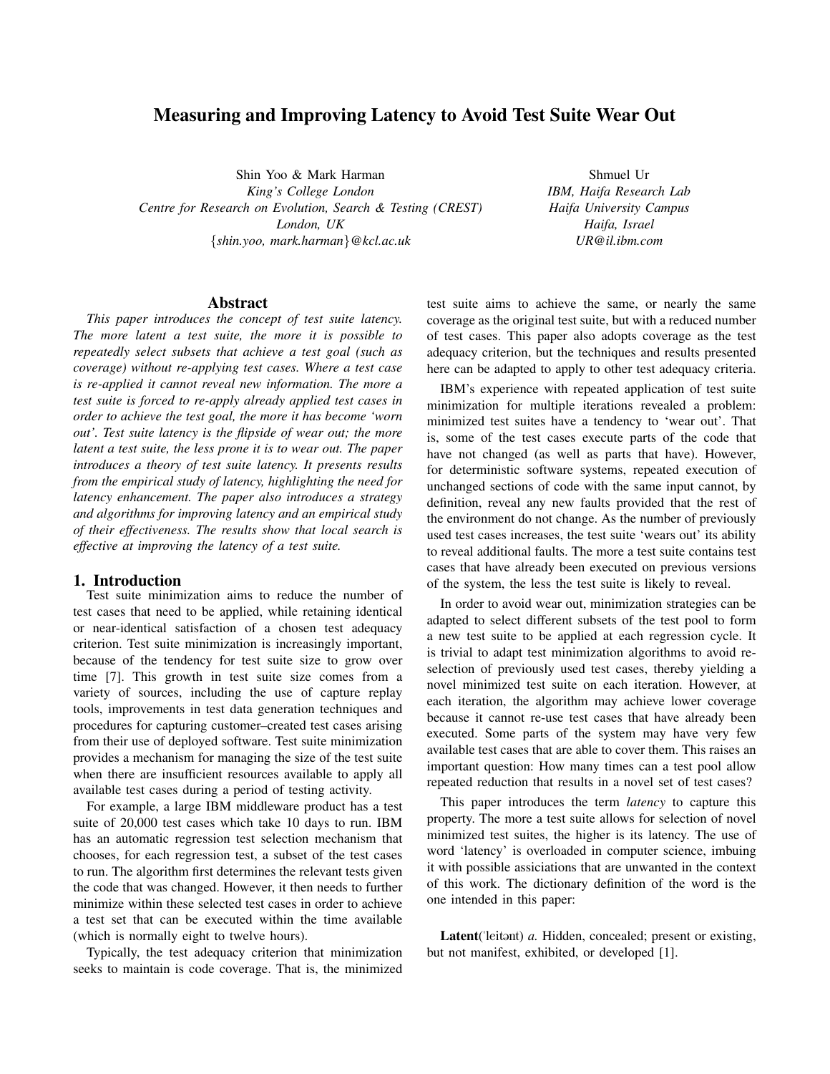# Measuring and Improving Latency to Avoid Test Suite Wear Out

Shin Yoo & Mark Harman *King's College London Centre for Research on Evolution, Search & Testing (CREST) London, UK* {*shin.yoo, mark.harman*}*@kcl.ac.uk*

Shmuel Ur *IBM, Haifa Research Lab Haifa University Campus Haifa, Israel UR@il.ibm.com*

## Abstract

*This paper introduces the concept of test suite latency. The more latent a test suite, the more it is possible to repeatedly select subsets that achieve a test goal (such as coverage) without re-applying test cases. Where a test case is re-applied it cannot reveal new information. The more a test suite is forced to re-apply already applied test cases in order to achieve the test goal, the more it has become 'worn out'. Test suite latency is the flipside of wear out; the more latent a test suite, the less prone it is to wear out. The paper introduces a theory of test suite latency. It presents results from the empirical study of latency, highlighting the need for latency enhancement. The paper also introduces a strategy and algorithms for improving latency and an empirical study of their effectiveness. The results show that local search is effective at improving the latency of a test suite.*

## 1. Introduction

Test suite minimization aims to reduce the number of test cases that need to be applied, while retaining identical or near-identical satisfaction of a chosen test adequacy criterion. Test suite minimization is increasingly important, because of the tendency for test suite size to grow over time [7]. This growth in test suite size comes from a variety of sources, including the use of capture replay tools, improvements in test data generation techniques and procedures for capturing customer–created test cases arising from their use of deployed software. Test suite minimization provides a mechanism for managing the size of the test suite when there are insufficient resources available to apply all available test cases during a period of testing activity.

For example, a large IBM middleware product has a test suite of 20,000 test cases which take 10 days to run. IBM has an automatic regression test selection mechanism that chooses, for each regression test, a subset of the test cases to run. The algorithm first determines the relevant tests given the code that was changed. However, it then needs to further minimize within these selected test cases in order to achieve a test set that can be executed within the time available (which is normally eight to twelve hours).

Typically, the test adequacy criterion that minimization seeks to maintain is code coverage. That is, the minimized test suite aims to achieve the same, or nearly the same coverage as the original test suite, but with a reduced number of test cases. This paper also adopts coverage as the test adequacy criterion, but the techniques and results presented here can be adapted to apply to other test adequacy criteria.

IBM's experience with repeated application of test suite minimization for multiple iterations revealed a problem: minimized test suites have a tendency to 'wear out'. That is, some of the test cases execute parts of the code that have not changed (as well as parts that have). However, for deterministic software systems, repeated execution of unchanged sections of code with the same input cannot, by definition, reveal any new faults provided that the rest of the environment do not change. As the number of previously used test cases increases, the test suite 'wears out' its ability to reveal additional faults. The more a test suite contains test cases that have already been executed on previous versions of the system, the less the test suite is likely to reveal.

In order to avoid wear out, minimization strategies can be adapted to select different subsets of the test pool to form a new test suite to be applied at each regression cycle. It is trivial to adapt test minimization algorithms to avoid reselection of previously used test cases, thereby yielding a novel minimized test suite on each iteration. However, at each iteration, the algorithm may achieve lower coverage because it cannot re-use test cases that have already been executed. Some parts of the system may have very few available test cases that are able to cover them. This raises an important question: How many times can a test pool allow repeated reduction that results in a novel set of test cases?

This paper introduces the term *latency* to capture this property. The more a test suite allows for selection of novel minimized test suites, the higher is its latency. The use of word 'latency' is overloaded in computer science, imbuing it with possible assiciations that are unwanted in the context of this work. The dictionary definition of the word is the one intended in this paper:

Latent('leitont) *a*. Hidden, concealed; present or existing, but not manifest, exhibited, or developed [1].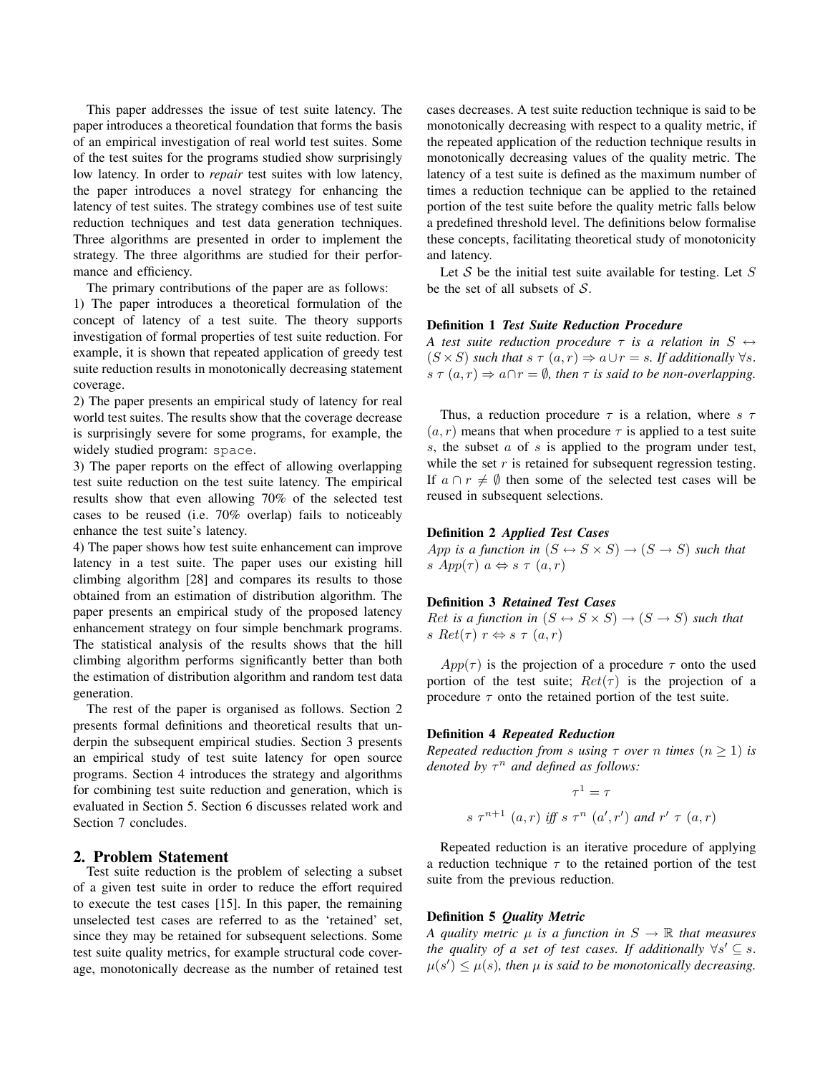This paper addresses the issue of test suite latency. The paper introduces a theoretical foundation that forms the basis of an empirical investigation of real world test suites. Some of the test suites for the programs studied show surprisingly low latency. In order to *repair* test suites with low latency, the paper introduces a novel strategy for enhancing the latency of test suites. The strategy combines use of test suite reduction techniques and test data generation techniques. Three algorithms are presented in order to implement the strategy. The three algorithms are studied for their performance and efficiency.

The primary contributions of the paper are as follows:

1) The paper introduces a theoretical formulation of the concept of latency of a test suite. The theory supports investigation of formal properties of test suite reduction. For example, it is shown that repeated application of greedy test suite reduction results in monotonically decreasing statement coverage.

2) The paper presents an empirical study of latency for real world test suites. The results show that the coverage decrease is surprisingly severe for some programs, for example, the widely studied program: space.

3) The paper reports on the effect of allowing overlapping test suite reduction on the test suite latency. The empirical results show that even allowing 70% of the selected test cases to be reused (i.e. 70% overlap) fails to noticeably enhance the test suite's latency.

4) The paper shows how test suite enhancement can improve latency in a test suite. The paper uses our existing hill climbing algorithm [28] and compares its results to those obtained from an estimation of distribution algorithm. The paper presents an empirical study of the proposed latency enhancement strategy on four simple benchmark programs. The statistical analysis of the results shows that the hill climbing algorithm performs significantly better than both the estimation of distribution algorithm and random test data generation.

The rest of the paper is organised as follows. Section 2 presents formal definitions and theoretical results that underpin the subsequent empirical studies. Section 3 presents an empirical study of test suite latency for open source programs. Section 4 introduces the strategy and algorithms for combining test suite reduction and generation, which is evaluated in Section 5. Section 6 discusses related work and Section 7 concludes.

## 2. Problem Statement

Test suite reduction is the problem of selecting a subset of a given test suite in order to reduce the effort required to execute the test cases [15]. In this paper, the remaining unselected test cases are referred to as the 'retained' set, since they may be retained for subsequent selections. Some test suite quality metrics, for example structural code coverage, monotonically decrease as the number of retained test cases decreases. A test suite reduction technique is said to be monotonically decreasing with respect to a quality metric, if the repeated application of the reduction technique results in monotonically decreasing values of the quality metric. The latency of a test suite is defined as the maximum number of times a reduction technique can be applied to the retained portion of the test suite before the quality metric falls below a predefined threshold level. The definitions below formalise these concepts, facilitating theoretical study of monotonicity and latency.

Let  $S$  be the initial test suite available for testing. Let  $S$ be the set of all subsets of S.

### Definition 1 *Test Suite Reduction Procedure*

*A test suite reduction procedure*  $\tau$  *is a relation in*  $S \leftrightarrow$  $(S \times S)$  *such that*  $s \tau (a, r) \Rightarrow a \cup r = s$ *. If additionally*  $\forall s$ *.*  $s \tau (a, r) \Rightarrow a \cap r = \emptyset$ , then  $\tau$  *is said to be non-overlapping.* 

Thus, a reduction procedure  $\tau$  is a relation, where  $s \tau$  $(a, r)$  means that when procedure  $\tau$  is applied to a test suite s, the subset  $a$  of  $s$  is applied to the program under test, while the set  $r$  is retained for subsequent regression testing. If  $a \cap r \neq \emptyset$  then some of the selected test cases will be reused in subsequent selections.

#### Definition 2 *Applied Test Cases*

App is a function in  $(S \leftrightarrow S \times S) \rightarrow (S \rightarrow S)$  such that s  $App(\tau)$   $a \Leftrightarrow s \tau$   $(a,r)$ 

## Definition 3 *Retained Test Cases*

Ret is a function in  $(S \leftrightarrow S \times S) \rightarrow (S \rightarrow S)$  such that s  $Ret(\tau)$   $r \Leftrightarrow s \tau (a,r)$ 

 $App(\tau)$  is the projection of a procedure  $\tau$  onto the used portion of the test suite;  $Ret(\tau)$  is the projection of a procedure  $\tau$  onto the retained portion of the test suite.

#### Definition 4 *Repeated Reduction*

*Repeated reduction from s using*  $\tau$  *over n times*  $(n \geq 1)$  *is denoted by*  $\tau^n$  *and defined as follows:* 

$$
\tau^1 = \tau
$$
  
s  $\tau^{n+1}$  (a,r) iff s  $\tau^n$  (a',r') and r'  $\tau$  (a,r)

Repeated reduction is an iterative procedure of applying a reduction technique  $\tau$  to the retained portion of the test suite from the previous reduction.

### Definition 5 *Quality Metric*

*A quality metric*  $\mu$  *is a function in*  $S \to \mathbb{R}$  *that measures the quality of a set of test cases. If additionally*  $\forall s' \subseteq s$ .  $\mu(s') \leq \mu(s)$ , then  $\mu$  is said to be monotonically decreasing.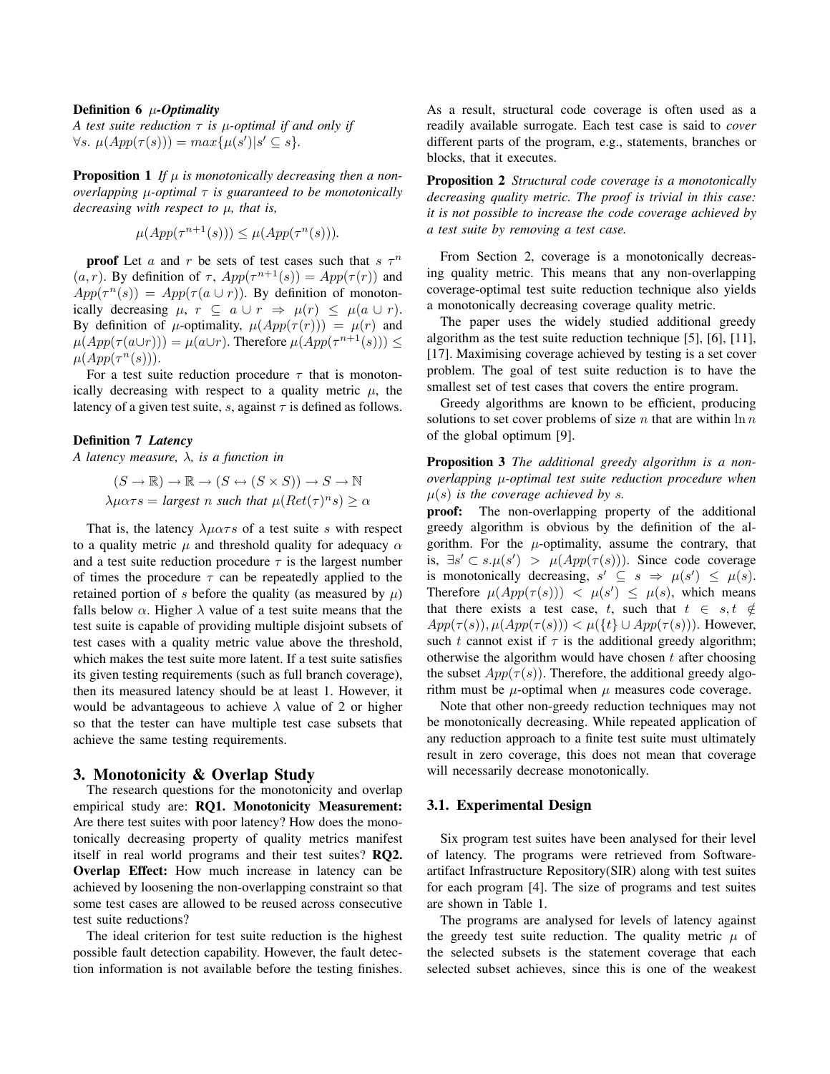#### Definition 6 µ*-Optimality*

*A test suite reduction* τ *is* µ*-optimal if and only if*  $\forall s. \ \mu(App(\tau(s))) = max{\mu(s')|s' \subseteq s}.$ 

Proposition 1 If  $\mu$  is monotonically decreasing then a non*overlapping* µ*-optimal* τ *is guaranteed to be monotonically decreasing with respect to* µ*, that is,*

$$
\mu(App(\tau^{n+1}(s))) \le \mu(App(\tau^n(s))).
$$

**proof** Let a and r be sets of test cases such that  $s \tau^n$ (a, r). By definition of  $\tau$ ,  $App(\tau^{n+1}(s)) = App(\tau(r))$  and  $App(\tau^n(s)) = App(\tau(a \cup r))$ . By definition of monotonically decreasing  $\mu$ ,  $r \subseteq a \cup r \Rightarrow \mu(r) \leq \mu(a \cup r)$ . By definition of  $\mu$ -optimality,  $\mu(App(\tau(r))) = \mu(r)$  and  $\mu(App(\tau(a\cup r))) = \mu(a\cup r)$ . Therefore  $\mu(App(\tau^{n+1}(s))) \leq$  $\mu(App(\tau^{n}(s))).$ 

For a test suite reduction procedure  $\tau$  that is monotonically decreasing with respect to a quality metric  $\mu$ , the latency of a given test suite, s, against  $\tau$  is defined as follows.

## Definition 7 *Latency*

*A latency measure,* λ*, is a function in*

$$
(S \to \mathbb{R}) \to \mathbb{R} \to (S \leftrightarrow (S \times S)) \to S \to \mathbb{N}
$$
  

$$
\lambda \mu \alpha \tau s = \text{largest } n \text{ such that } \mu(\text{Ret}(\tau)^n s) \ge \alpha
$$

That is, the latency  $\lambda \mu \alpha \tau s$  of a test suite s with respect to a quality metric  $\mu$  and threshold quality for adequacy  $\alpha$ and a test suite reduction procedure  $\tau$  is the largest number of times the procedure  $\tau$  can be repeatedly applied to the retained portion of s before the quality (as measured by  $\mu$ ) falls below  $\alpha$ . Higher  $\lambda$  value of a test suite means that the test suite is capable of providing multiple disjoint subsets of test cases with a quality metric value above the threshold, which makes the test suite more latent. If a test suite satisfies its given testing requirements (such as full branch coverage), then its measured latency should be at least 1. However, it would be advantageous to achieve  $\lambda$  value of 2 or higher so that the tester can have multiple test case subsets that achieve the same testing requirements.

## 3. Monotonicity & Overlap Study

The research questions for the monotonicity and overlap empirical study are: RQ1. Monotonicity Measurement: Are there test suites with poor latency? How does the monotonically decreasing property of quality metrics manifest itself in real world programs and their test suites? RQ2. Overlap Effect: How much increase in latency can be achieved by loosening the non-overlapping constraint so that some test cases are allowed to be reused across consecutive test suite reductions?

The ideal criterion for test suite reduction is the highest possible fault detection capability. However, the fault detection information is not available before the testing finishes. As a result, structural code coverage is often used as a readily available surrogate. Each test case is said to *cover* different parts of the program, e.g., statements, branches or blocks, that it executes.

Proposition 2 *Structural code coverage is a monotonically decreasing quality metric. The proof is trivial in this case: it is not possible to increase the code coverage achieved by a test suite by removing a test case.*

From Section 2, coverage is a monotonically decreasing quality metric. This means that any non-overlapping coverage-optimal test suite reduction technique also yields a monotonically decreasing coverage quality metric.

The paper uses the widely studied additional greedy algorithm as the test suite reduction technique [5], [6], [11], [17]. Maximising coverage achieved by testing is a set cover problem. The goal of test suite reduction is to have the smallest set of test cases that covers the entire program.

Greedy algorithms are known to be efficient, producing solutions to set cover problems of size n that are within  $\ln n$ of the global optimum [9].

Proposition 3 *The additional greedy algorithm is a nonoverlapping* µ*-optimal test suite reduction procedure when*  $\mu(s)$  *is the coverage achieved by s.* 

proof: The non-overlapping property of the additional greedy algorithm is obvious by the definition of the algorithm. For the  $\mu$ -optimality, assume the contrary, that is,  $\exists s' \subset s. \mu(s') > \mu(App(\tau(s)))$ . Since code coverage is monotonically decreasing,  $s' \subseteq s \Rightarrow \mu(s') \le \mu(s)$ . Therefore  $\mu(App(\tau(s))) < \mu(s') \leq \mu(s)$ , which means that there exists a test case, t, such that  $t \in s, t \notin$  $App(\tau(s)), \mu(App(\tau(s))) < \mu({t \in \cup App(\tau(s))}).$  However, such t cannot exist if  $\tau$  is the additional greedy algorithm; otherwise the algorithm would have chosen  $t$  after choosing the subset  $App(\tau(s))$ . Therefore, the additional greedy algorithm must be  $\mu$ -optimal when  $\mu$  measures code coverage.

Note that other non-greedy reduction techniques may not be monotonically decreasing. While repeated application of any reduction approach to a finite test suite must ultimately result in zero coverage, this does not mean that coverage will necessarily decrease monotonically.

## 3.1. Experimental Design

Six program test suites have been analysed for their level of latency. The programs were retrieved from Softwareartifact Infrastructure Repository(SIR) along with test suites for each program [4]. The size of programs and test suites are shown in Table 1.

The programs are analysed for levels of latency against the greedy test suite reduction. The quality metric  $\mu$  of the selected subsets is the statement coverage that each selected subset achieves, since this is one of the weakest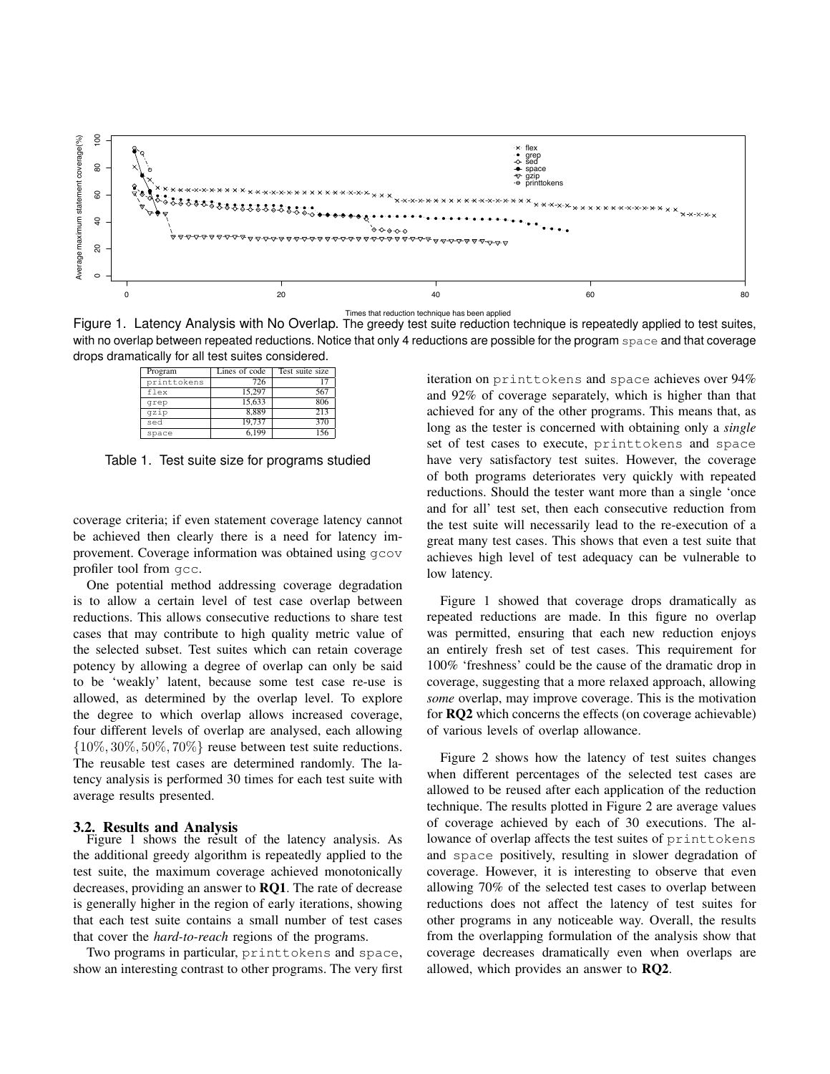

Times that reduction technique has been applied

Figure 1. Latency Analysis with No Overlap. The greedy test suite reduction technique is repeatedly applied to test suites, with no overlap between repeated reductions. Notice that only 4 reductions are possible for the program space and that coverage drops dramatically for all test suites considered.

| Program     | Lines of code | Test suite size |
|-------------|---------------|-----------------|
| printtokens | 726           |                 |
| flex        | 15.297        | 567             |
| grep        | 15,633        | 806             |
| qzip        | 8.889         | 213             |
| sed         | 19.737        | 370             |
| space       | 6.199         | 156             |

Table 1. Test suite size for programs studied

coverage criteria; if even statement coverage latency cannot be achieved then clearly there is a need for latency improvement. Coverage information was obtained using gcov profiler tool from gcc.

One potential method addressing coverage degradation is to allow a certain level of test case overlap between reductions. This allows consecutive reductions to share test cases that may contribute to high quality metric value of the selected subset. Test suites which can retain coverage potency by allowing a degree of overlap can only be said to be 'weakly' latent, because some test case re-use is allowed, as determined by the overlap level. To explore the degree to which overlap allows increased coverage, four different levels of overlap are analysed, each allowing  $\{10\%, 30\%, 50\%, 70\%\}\$  reuse between test suite reductions. The reusable test cases are determined randomly. The latency analysis is performed 30 times for each test suite with average results presented.

**3.2. Results and Analysis** Figure 1 shows the result of the latency analysis. As the additional greedy algorithm is repeatedly applied to the test suite, the maximum coverage achieved monotonically decreases, providing an answer to RQ1. The rate of decrease is generally higher in the region of early iterations, showing that each test suite contains a small number of test cases that cover the *hard-to-reach* regions of the programs.

Two programs in particular, printtokens and space, show an interesting contrast to other programs. The very first iteration on printtokens and space achieves over 94% and 92% of coverage separately, which is higher than that achieved for any of the other programs. This means that, as long as the tester is concerned with obtaining only a *single* set of test cases to execute, printtokens and space have very satisfactory test suites. However, the coverage of both programs deteriorates very quickly with repeated reductions. Should the tester want more than a single 'once and for all' test set, then each consecutive reduction from the test suite will necessarily lead to the re-execution of a great many test cases. This shows that even a test suite that achieves high level of test adequacy can be vulnerable to low latency.

Figure 1 showed that coverage drops dramatically as repeated reductions are made. In this figure no overlap was permitted, ensuring that each new reduction enjoys an entirely fresh set of test cases. This requirement for 100% 'freshness' could be the cause of the dramatic drop in coverage, suggesting that a more relaxed approach, allowing *some* overlap, may improve coverage. This is the motivation for RQ2 which concerns the effects (on coverage achievable) of various levels of overlap allowance.

Figure 2 shows how the latency of test suites changes when different percentages of the selected test cases are allowed to be reused after each application of the reduction technique. The results plotted in Figure 2 are average values of coverage achieved by each of 30 executions. The allowance of overlap affects the test suites of printtokens and space positively, resulting in slower degradation of coverage. However, it is interesting to observe that even allowing 70% of the selected test cases to overlap between reductions does not affect the latency of test suites for other programs in any noticeable way. Overall, the results from the overlapping formulation of the analysis show that coverage decreases dramatically even when overlaps are allowed, which provides an answer to RQ2.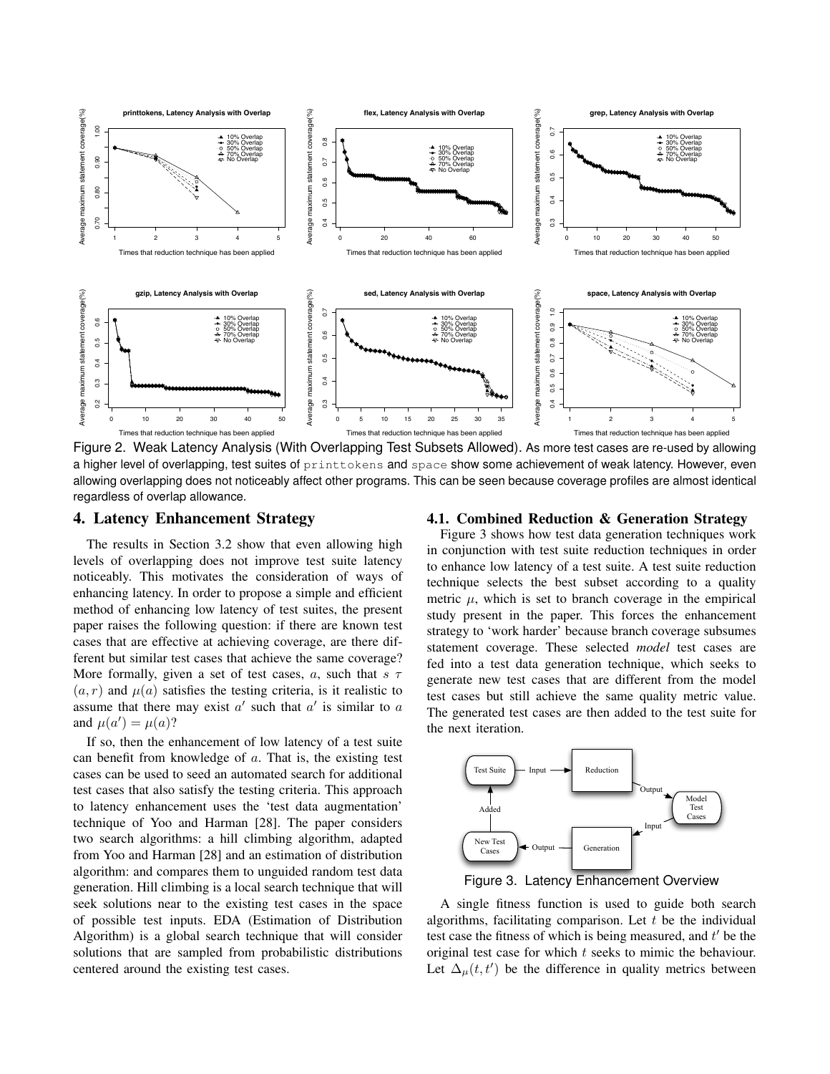

Figure 2. Weak Latency Analysis (With Overlapping Test Subsets Allowed). As more test cases are re-used by allowing a higher level of overlapping, test suites of printtokens and space show some achievement of weak latency. However, even allowing overlapping does not noticeably affect other programs. This can be seen because coverage profiles are almost identical regardless of overlap allowance.

## 4. Latency Enhancement Strategy

The results in Section 3.2 show that even allowing high levels of overlapping does not improve test suite latency noticeably. This motivates the consideration of ways of enhancing latency. In order to propose a simple and efficient method of enhancing low latency of test suites, the present paper raises the following question: if there are known test cases that are effective at achieving coverage, are there different but similar test cases that achieve the same coverage? More formally, given a set of test cases,  $a$ , such that  $s \tau$  $(a, r)$  and  $\mu(a)$  satisfies the testing criteria, is it realistic to assume that there may exist  $a'$  such that  $a'$  is similar to  $a$ and  $\mu(a') = \mu(a)$ ?

If so, then the enhancement of low latency of a test suite can benefit from knowledge of a. That is, the existing test cases can be used to seed an automated search for additional test cases that also satisfy the testing criteria. This approach to latency enhancement uses the 'test data augmentation' technique of Yoo and Harman [28]. The paper considers two search algorithms: a hill climbing algorithm, adapted from Yoo and Harman [28] and an estimation of distribution algorithm: and compares them to unguided random test data generation. Hill climbing is a local search technique that will seek solutions near to the existing test cases in the space of possible test inputs. EDA (Estimation of Distribution Algorithm) is a global search technique that will consider solutions that are sampled from probabilistic distributions centered around the existing test cases.

#### 4.1. Combined Reduction & Generation Strategy

Figure 3 shows how test data generation techniques work in conjunction with test suite reduction techniques in order to enhance low latency of a test suite. A test suite reduction technique selects the best subset according to a quality metric  $\mu$ , which is set to branch coverage in the empirical study present in the paper. This forces the enhancement strategy to 'work harder' because branch coverage subsumes statement coverage. These selected *model* test cases are fed into a test data generation technique, which seeks to generate new test cases that are different from the model test cases but still achieve the same quality metric value. The generated test cases are then added to the test suite for the next iteration.



A single fitness function is used to guide both search algorithms, facilitating comparison. Let  $t$  be the individual test case the fitness of which is being measured, and  $t'$  be the original test case for which t seeks to mimic the behaviour. Let  $\Delta_{\mu}(t, t')$  be the difference in quality metrics between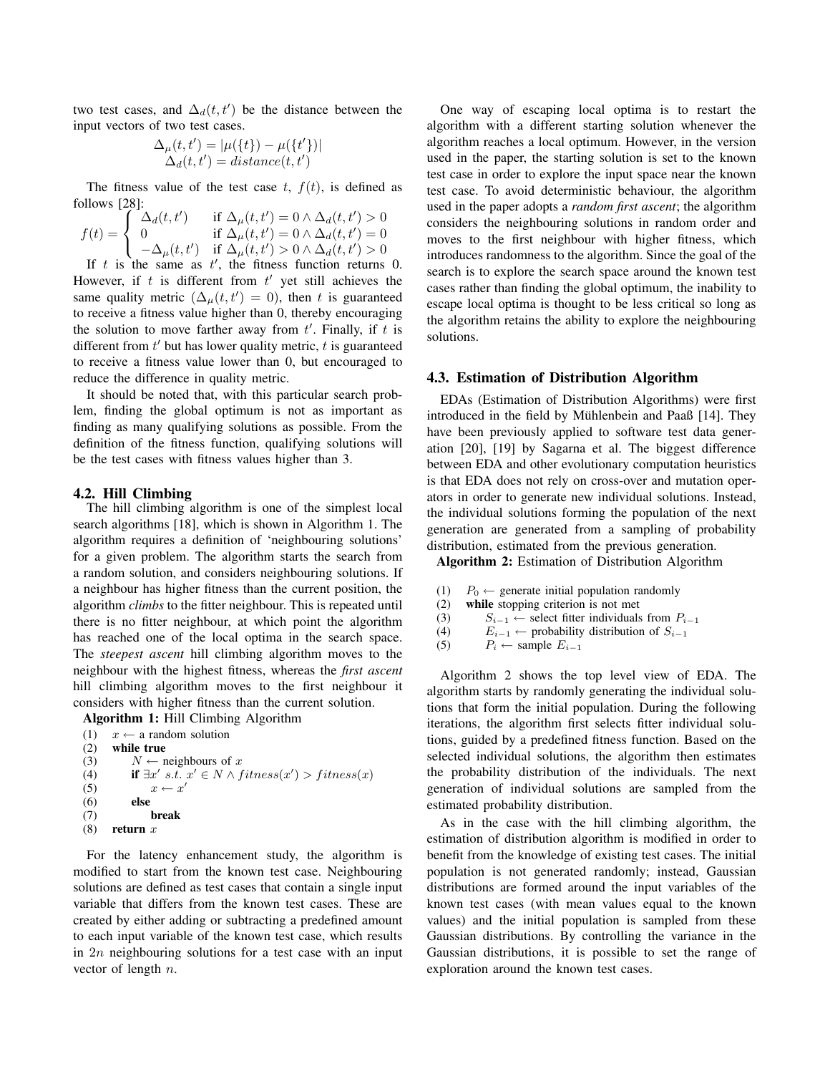two test cases, and  $\Delta_d(t, t')$  be the distance between the input vectors of two test cases.

$$
\Delta_{\mu}(t, t') = |\mu(\lbrace t \rbrace) - \mu(\lbrace t' \rbrace)|
$$
  

$$
\Delta_d(t, t') = distance(t, t')
$$

The fitness value of the test case t,  $f(t)$ , is defined as follows [28]:

| $\int \Delta_d(t,t')$                | if $\Delta_{\mu}(t,t') = 0 \wedge \Delta_d(t,t') > 0$                                                                                       |
|--------------------------------------|---------------------------------------------------------------------------------------------------------------------------------------------|
| $f(t) = \begin{cases} 0 \end{cases}$ | if $\Delta_{\mu}(t,t') = 0 \wedge \Delta_d(t,t') = 0$                                                                                       |
|                                      | $\left( -\Delta_{\mu}(t, t') \text{ if } \Delta_{\mu}(t, t') > 0 \wedge \Delta_{d}(t, t') > 0 \right)$                                      |
|                                      | $\mathcal{A}$ and $\mathcal{A}$ and $\mathcal{A}$ and $\mathcal{A}$ and $\mathcal{A}$ and $\mathcal{A}$ and $\mathcal{A}$ and $\mathcal{A}$ |

If t is the same as  $t'$ , the fitness function returns 0. However, if  $t$  is different from  $t'$  yet still achieves the same quality metric  $(\Delta_{\mu}(t, t') = 0)$ , then t is guaranteed to receive a fitness value higher than 0, thereby encouraging the solution to move farther away from  $t'$ . Finally, if t is different from  $t'$  but has lower quality metric,  $t$  is guaranteed to receive a fitness value lower than 0, but encouraged to reduce the difference in quality metric.

It should be noted that, with this particular search problem, finding the global optimum is not as important as finding as many qualifying solutions as possible. From the definition of the fitness function, qualifying solutions will be the test cases with fitness values higher than 3.

## 4.2. Hill Climbing

The hill climbing algorithm is one of the simplest local search algorithms [18], which is shown in Algorithm 1. The algorithm requires a definition of 'neighbouring solutions' for a given problem. The algorithm starts the search from a random solution, and considers neighbouring solutions. If a neighbour has higher fitness than the current position, the algorithm *climbs* to the fitter neighbour. This is repeated until there is no fitter neighbour, at which point the algorithm has reached one of the local optima in the search space. The *steepest ascent* hill climbing algorithm moves to the neighbour with the highest fitness, whereas the *first ascent* hill climbing algorithm moves to the first neighbour it considers with higher fitness than the current solution.

Algorithm 1: Hill Climbing Algorithm

```
(1) x \leftarrow a random solution<br>(2) while true
        while true
(3) N \leftarrow neighbours of x<br>(4) if \exists x' \ s.t. \ x' \in N \land f(4) if \exists x' \ s.t. \ x' \in N \land fitness(x') > fitness(x)(5) x \leftarrow x'<br>(6) else
             (6) else
(7) break
(8) return x
```
For the latency enhancement study, the algorithm is modified to start from the known test case. Neighbouring solutions are defined as test cases that contain a single input variable that differs from the known test cases. These are created by either adding or subtracting a predefined amount to each input variable of the known test case, which results in  $2n$  neighbouring solutions for a test case with an input vector of length n.

One way of escaping local optima is to restart the algorithm with a different starting solution whenever the algorithm reaches a local optimum. However, in the version used in the paper, the starting solution is set to the known test case in order to explore the input space near the known test case. To avoid deterministic behaviour, the algorithm used in the paper adopts a *random first ascent*; the algorithm considers the neighbouring solutions in random order and moves to the first neighbour with higher fitness, which introduces randomness to the algorithm. Since the goal of the search is to explore the search space around the known test cases rather than finding the global optimum, the inability to escape local optima is thought to be less critical so long as the algorithm retains the ability to explore the neighbouring solutions.

## 4.3. Estimation of Distribution Algorithm

EDAs (Estimation of Distribution Algorithms) were first introduced in the field by Mühlenbein and Paaß [14]. They have been previously applied to software test data generation [20], [19] by Sagarna et al. The biggest difference between EDA and other evolutionary computation heuristics is that EDA does not rely on cross-over and mutation operators in order to generate new individual solutions. Instead, the individual solutions forming the population of the next generation are generated from a sampling of probability distribution, estimated from the previous generation.

Algorithm 2: Estimation of Distribution Algorithm

- (1)  $P_0 \leftarrow$  generate initial population randomly<br>(2) while stopping criterion is not met
- while stopping criterion is not met
- (3)  $S_{i-1}$  ← select fitter individuals from  $P_{i-1}$ <br>(4)  $E_{i-1}$  ← probability distribution of  $S_{i-1}$
- (4)  $E_{i-1}$  ← probability distribution of  $S_{i-1}$ <br>(5)  $P_i$  ← sample  $E_{i-1}$

 $P_i$  ← sample  $E_{i-1}$ 

Algorithm 2 shows the top level view of EDA. The algorithm starts by randomly generating the individual solutions that form the initial population. During the following iterations, the algorithm first selects fitter individual solutions, guided by a predefined fitness function. Based on the selected individual solutions, the algorithm then estimates the probability distribution of the individuals. The next generation of individual solutions are sampled from the estimated probability distribution.

As in the case with the hill climbing algorithm, the estimation of distribution algorithm is modified in order to benefit from the knowledge of existing test cases. The initial population is not generated randomly; instead, Gaussian distributions are formed around the input variables of the known test cases (with mean values equal to the known values) and the initial population is sampled from these Gaussian distributions. By controlling the variance in the Gaussian distributions, it is possible to set the range of exploration around the known test cases.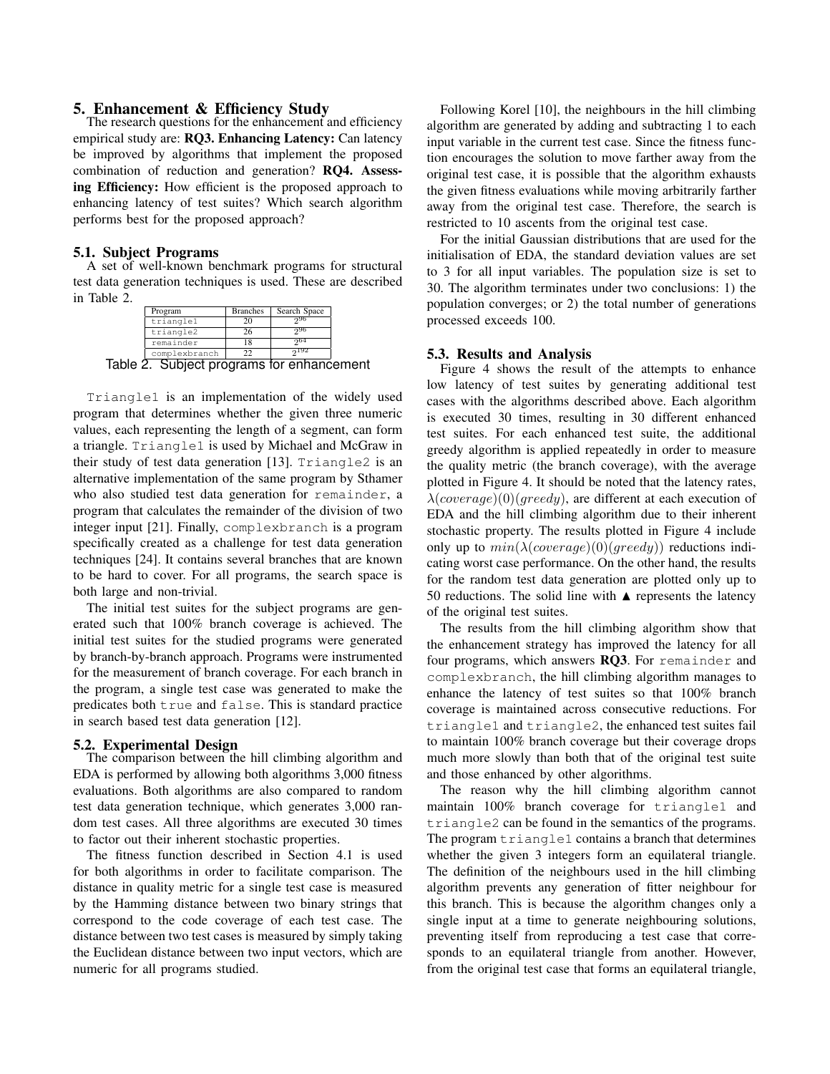## 5. Enhancement & Efficiency Study

The research questions for the enhancement and efficiency empirical study are: RQ3. Enhancing Latency: Can latency be improved by algorithms that implement the proposed combination of reduction and generation? RQ4. Assessing Efficiency: How efficient is the proposed approach to enhancing latency of test suites? Which search algorithm performs best for the proposed approach?

## 5.1. Subject Programs

A set of well-known benchmark programs for structural test data generation techniques is used. These are described in Table 2.

| Program                                   | <b>Branches</b> | Search Space |  |
|-------------------------------------------|-----------------|--------------|--|
| trianglel                                 | 20              | -96          |  |
| triangle2                                 | 26              | -96          |  |
| remainder                                 | 18              | -064         |  |
| complexbranch                             | 22              | 2192         |  |
| Table 2. Subject programs for enhancement |                 |              |  |

Triangle1 is an implementation of the widely used program that determines whether the given three numeric values, each representing the length of a segment, can form a triangle. Triangle1 is used by Michael and McGraw in their study of test data generation [13]. Triangle2 is an alternative implementation of the same program by Sthamer who also studied test data generation for remainder, a program that calculates the remainder of the division of two integer input [21]. Finally, complexbranch is a program specifically created as a challenge for test data generation techniques [24]. It contains several branches that are known to be hard to cover. For all programs, the search space is both large and non-trivial.

The initial test suites for the subject programs are generated such that 100% branch coverage is achieved. The initial test suites for the studied programs were generated by branch-by-branch approach. Programs were instrumented for the measurement of branch coverage. For each branch in the program, a single test case was generated to make the predicates both true and false. This is standard practice in search based test data generation [12].

#### 5.2. Experimental Design

The comparison between the hill climbing algorithm and EDA is performed by allowing both algorithms 3,000 fitness evaluations. Both algorithms are also compared to random test data generation technique, which generates 3,000 random test cases. All three algorithms are executed 30 times to factor out their inherent stochastic properties.

The fitness function described in Section 4.1 is used for both algorithms in order to facilitate comparison. The distance in quality metric for a single test case is measured by the Hamming distance between two binary strings that correspond to the code coverage of each test case. The distance between two test cases is measured by simply taking the Euclidean distance between two input vectors, which are numeric for all programs studied.

Following Korel [10], the neighbours in the hill climbing algorithm are generated by adding and subtracting 1 to each input variable in the current test case. Since the fitness function encourages the solution to move farther away from the original test case, it is possible that the algorithm exhausts the given fitness evaluations while moving arbitrarily farther away from the original test case. Therefore, the search is restricted to 10 ascents from the original test case.

For the initial Gaussian distributions that are used for the initialisation of EDA, the standard deviation values are set to 3 for all input variables. The population size is set to 30. The algorithm terminates under two conclusions: 1) the population converges; or 2) the total number of generations processed exceeds 100.

#### 5.3. Results and Analysis

Figure 4 shows the result of the attempts to enhance low latency of test suites by generating additional test cases with the algorithms described above. Each algorithm is executed 30 times, resulting in 30 different enhanced test suites. For each enhanced test suite, the additional greedy algorithm is applied repeatedly in order to measure the quality metric (the branch coverage), with the average plotted in Figure 4. It should be noted that the latency rates,  $\lambda (coverage)(0) (greedy)$ , are different at each execution of EDA and the hill climbing algorithm due to their inherent stochastic property. The results plotted in Figure 4 include only up to  $min(\lambda (coverage)(0)(greedy))$  reductions indicating worst case performance. On the other hand, the results for the random test data generation are plotted only up to 50 reductions. The solid line with  $\blacktriangle$  represents the latency of the original test suites.

The results from the hill climbing algorithm show that the enhancement strategy has improved the latency for all four programs, which answers RQ3. For remainder and complexbranch, the hill climbing algorithm manages to enhance the latency of test suites so that 100% branch coverage is maintained across consecutive reductions. For triangle1 and triangle2, the enhanced test suites fail to maintain 100% branch coverage but their coverage drops much more slowly than both that of the original test suite and those enhanced by other algorithms.

The reason why the hill climbing algorithm cannot maintain 100% branch coverage for triangle1 and triangle2 can be found in the semantics of the programs. The program  $\text{triangle1}$  contains a branch that determines whether the given 3 integers form an equilateral triangle. The definition of the neighbours used in the hill climbing algorithm prevents any generation of fitter neighbour for this branch. This is because the algorithm changes only a single input at a time to generate neighbouring solutions, preventing itself from reproducing a test case that corresponds to an equilateral triangle from another. However, from the original test case that forms an equilateral triangle,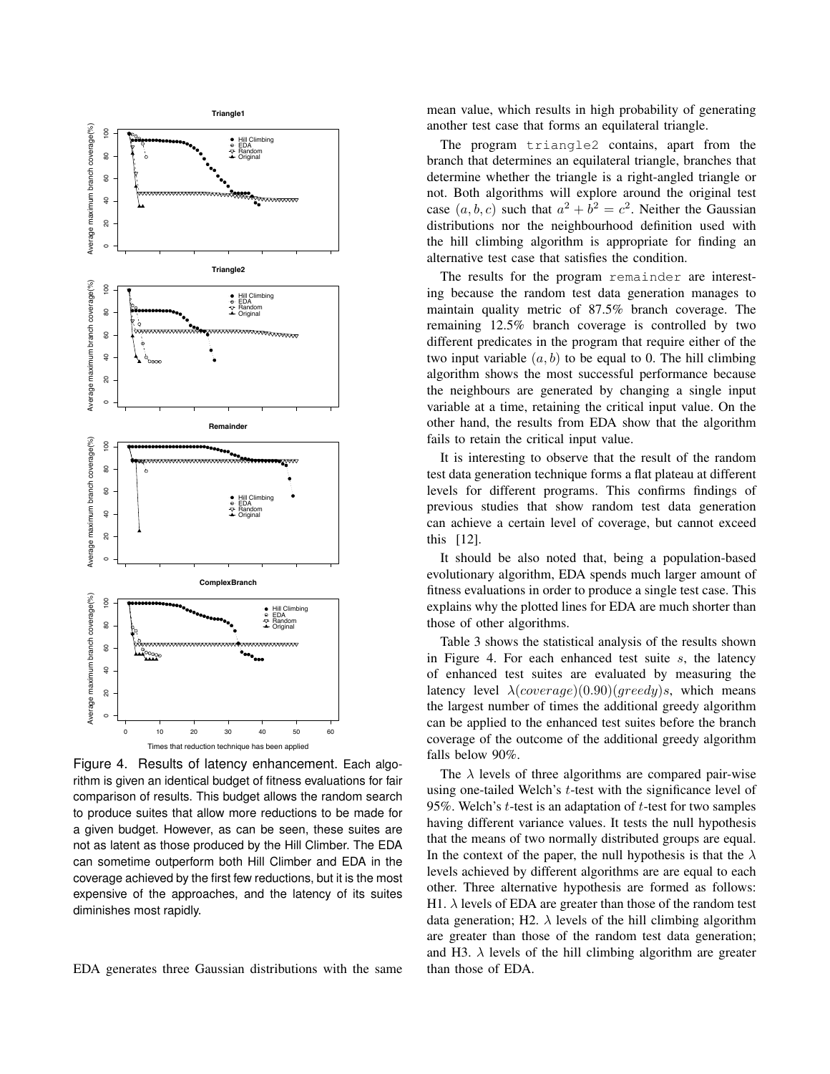

Figure 4. Results of latency enhancement. Each algorithm is given an identical budget of fitness evaluations for fair comparison of results. This budget allows the random search to produce suites that allow more reductions to be made for a given budget. However, as can be seen, these suites are not as latent as those produced by the Hill Climber. The EDA can sometime outperform both Hill Climber and EDA in the coverage achieved by the first few reductions, but it is the most expensive of the approaches, and the latency of its suites diminishes most rapidly.

EDA generates three Gaussian distributions with the same

mean value, which results in high probability of generating another test case that forms an equilateral triangle.

The program triangle2 contains, apart from the branch that determines an equilateral triangle, branches that determine whether the triangle is a right-angled triangle or not. Both algorithms will explore around the original test case  $(a, b, c)$  such that  $a^2 + b^2 = c^2$ . Neither the Gaussian distributions nor the neighbourhood definition used with the hill climbing algorithm is appropriate for finding an alternative test case that satisfies the condition.

The results for the program remainder are interesting because the random test data generation manages to maintain quality metric of 87.5% branch coverage. The remaining 12.5% branch coverage is controlled by two different predicates in the program that require either of the two input variable  $(a, b)$  to be equal to 0. The hill climbing algorithm shows the most successful performance because the neighbours are generated by changing a single input variable at a time, retaining the critical input value. On the other hand, the results from EDA show that the algorithm fails to retain the critical input value.

It is interesting to observe that the result of the random test data generation technique forms a flat plateau at different levels for different programs. This confirms findings of previous studies that show random test data generation can achieve a certain level of coverage, but cannot exceed this [12].

It should be also noted that, being a population-based evolutionary algorithm, EDA spends much larger amount of fitness evaluations in order to produce a single test case. This explains why the plotted lines for EDA are much shorter than those of other algorithms.

Table 3 shows the statistical analysis of the results shown in Figure 4. For each enhanced test suite  $s$ , the latency of enhanced test suites are evaluated by measuring the latency level  $\lambda (coverage)(0.90)(greedy)s$ , which means the largest number of times the additional greedy algorithm can be applied to the enhanced test suites before the branch coverage of the outcome of the additional greedy algorithm falls below 90%.

The  $\lambda$  levels of three algorithms are compared pair-wise using one-tailed Welch's t-test with the significance level of 95%. Welch's  $t$ -test is an adaptation of  $t$ -test for two samples having different variance values. It tests the null hypothesis that the means of two normally distributed groups are equal. In the context of the paper, the null hypothesis is that the  $\lambda$ levels achieved by different algorithms are are equal to each other. Three alternative hypothesis are formed as follows: H1.  $\lambda$  levels of EDA are greater than those of the random test data generation; H2.  $\lambda$  levels of the hill climbing algorithm are greater than those of the random test data generation; and H3.  $\lambda$  levels of the hill climbing algorithm are greater than those of EDA.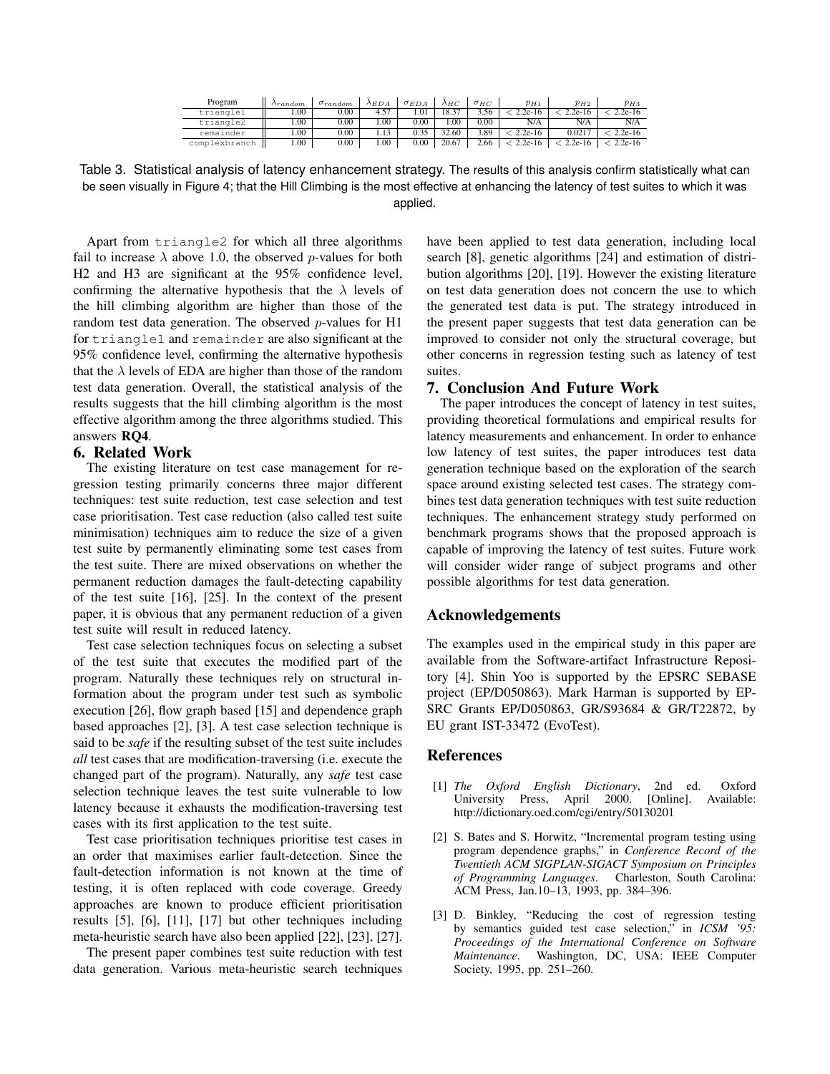| Program       | $\Lambda$ random | $\sigma_{random}$ | $\lambda EDA$ | $\sigma_{EDA}$ | $\lambda_{HC}$ | $\sigma_{HC}$ | $p_{H1}$  | $p_{H2}$ | $p_{H3}$ |
|---------------|------------------|-------------------|---------------|----------------|----------------|---------------|-----------|----------|----------|
| trianglel     | 0.00             | 0.00              | 4.57          | 1.01           | 18.37          | 3.56          | $2.2e-16$ | .2e-16   | $.2e-16$ |
| triangle2     | .00              | 0.00              | .00           | 0.00           | .00.           | $_{0.00}$     | N/A       | N/A      | N/A      |
| remainder     | .00.             | 0.00              | 1.13          | 0.35           | 32.60          | 3.89          | 2.2e-16   | 0.0217   | $.2e-16$ |
| complexbranch | 1.00             | 0.00              | .00.          | $_{0.00}$      | 20.67          | 2.66          | $2.2e-16$ | $.2e-16$ | $.2e-16$ |

Table 3. Statistical analysis of latency enhancement strategy. The results of this analysis confirm statistically what can be seen visually in Figure 4; that the Hill Climbing is the most effective at enhancing the latency of test suites to which it was applied.

Apart from triangle2 for which all three algorithms fail to increase  $\lambda$  above 1.0, the observed *p*-values for both H2 and H3 are significant at the 95% confidence level, confirming the alternative hypothesis that the  $\lambda$  levels of the hill climbing algorithm are higher than those of the random test data generation. The observed  $p$ -values for H1 for triangle1 and remainder are also significant at the 95% confidence level, confirming the alternative hypothesis that the  $\lambda$  levels of EDA are higher than those of the random test data generation. Overall, the statistical analysis of the results suggests that the hill climbing algorithm is the most effective algorithm among the three algorithms studied. This answers RQ4.

## 6. Related Work

The existing literature on test case management for regression testing primarily concerns three major different techniques: test suite reduction, test case selection and test case prioritisation. Test case reduction (also called test suite minimisation) techniques aim to reduce the size of a given test suite by permanently eliminating some test cases from the test suite. There are mixed observations on whether the permanent reduction damages the fault-detecting capability of the test suite [16], [25]. In the context of the present paper, it is obvious that any permanent reduction of a given test suite will result in reduced latency.

Test case selection techniques focus on selecting a subset of the test suite that executes the modified part of the program. Naturally these techniques rely on structural information about the program under test such as symbolic execution [26], flow graph based [15] and dependence graph based approaches [2], [3]. A test case selection technique is said to be *safe* if the resulting subset of the test suite includes *all* test cases that are modification-traversing (i.e. execute the changed part of the program). Naturally, any *safe* test case selection technique leaves the test suite vulnerable to low latency because it exhausts the modification-traversing test cases with its first application to the test suite.

Test case prioritisation techniques prioritise test cases in an order that maximises earlier fault-detection. Since the fault-detection information is not known at the time of testing, it is often replaced with code coverage. Greedy approaches are known to produce efficient prioritisation results [5], [6], [11], [17] but other techniques including meta-heuristic search have also been applied [22], [23], [27].

The present paper combines test suite reduction with test data generation. Various meta-heuristic search techniques have been applied to test data generation, including local search [8], genetic algorithms [24] and estimation of distribution algorithms [20], [19]. However the existing literature on test data generation does not concern the use to which the generated test data is put. The strategy introduced in the present paper suggests that test data generation can be improved to consider not only the structural coverage, but other concerns in regression testing such as latency of test suites.

## 7. Conclusion And Future Work

The paper introduces the concept of latency in test suites, providing theoretical formulations and empirical results for latency measurements and enhancement. In order to enhance low latency of test suites, the paper introduces test data generation technique based on the exploration of the search space around existing selected test cases. The strategy combines test data generation techniques with test suite reduction techniques. The enhancement strategy study performed on benchmark programs shows that the proposed approach is capable of improving the latency of test suites. Future work will consider wider range of subject programs and other possible algorithms for test data generation.

## Acknowledgements

The examples used in the empirical study in this paper are available from the Software-artifact Infrastructure Repository [4]. Shin Yoo is supported by the EPSRC SEBASE project (EP/D050863). Mark Harman is supported by EP-SRC Grants EP/D050863, GR/S93684 & GR/T22872, by EU grant IST-33472 (EvoTest).

## References

- [1] *The Oxford English Dictionary*, 2nd ed. Oxford University Press, April 2000. [Online]. Available: http://dictionary.oed.com/cgi/entry/50130201
- [2] S. Bates and S. Horwitz, "Incremental program testing using program dependence graphs," in *Conference Record of the Twentieth ACM SIGPLAN-SIGACT Symposium on Principles of Programming Languages*. Charleston, South Carolina: ACM Press, Jan.10–13, 1993, pp. 384–396.
- [3] D. Binkley, "Reducing the cost of regression testing by semantics guided test case selection," in *ICSM '95: Proceedings of the International Conference on Software Maintenance*. Washington, DC, USA: IEEE Computer Society, 1995, pp. 251–260.